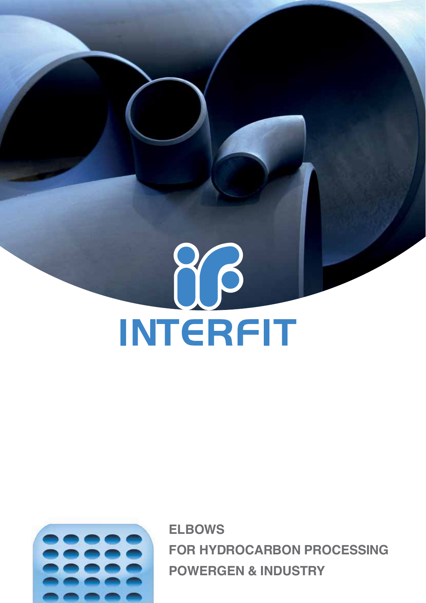

**ELBOWS FOR HYDROCARBON PROCESSING POWERGEN & INDUSTRY**

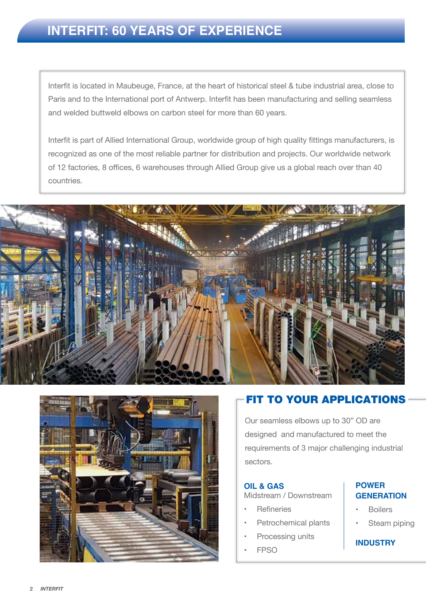Interfit is located in Maubeuge, France, at the heart of historical steel & tube industrial area, close to Paris and to the International port of Antwerp. Interfit has been manufacturing and selling seamless and welded buttweld elbows on carbon steel for more than 60 years.

Interfit is part of Allied International Group, worldwide group of high quality fittings manufacturers, is recognized as one of the most reliable partner for distribution and projects. Our worldwide network of 12 factories, 8 offices, 6 warehouses through Allied Group give us a global reach over than 40 countries.





# Fit to your applications

Our seamless elbows up to 30" OD are designed and manufactured to meet the requirements of 3 major challenging industrial sectors.

#### **Oil & Gas** Midstream / Downstream

- **Refineries**
- Petrochemical plants
- Processing units
- FPSO

#### **Power Generation**

- **Boilers**
- Steam piping

## **Industry**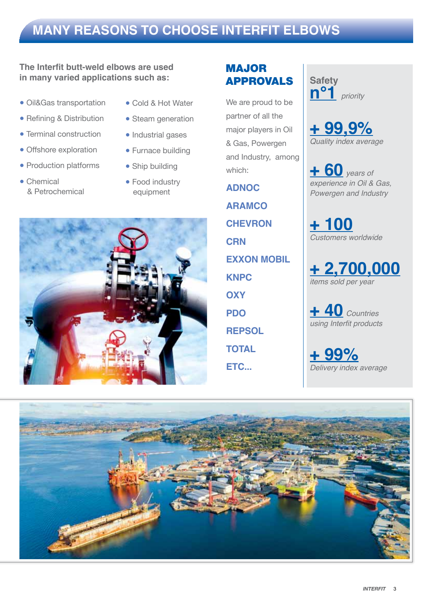# **many reasons to choose interfit elbows**

## **The Interfit butt-weld elbows are used in many varied applications such as:**

- Oil&Gas transportation
- Refining & Distribution
- Terminal construction
- Offshore exploration
- Production platforms
- Chemical & Petrochemical
- Cold & Hot Water
- Steam generation
- Industrial gases
- Furnace building
- Ship building
- Food industry equipment



# **MAJOR** approvals

We are proud to be partner of all the major players in Oil & Gas, Powergen and Industry, among which:

**ADNOC ARAMCO CHEVRON CRN EXXON MOBIL KNPC OXY PDO REPSOL TOTAL Etc...**

**Safety n°1** *priority*

**+ 99,9%** *Quality index average*

**+ 60** *years of experience in Oil & Gas, Powergen and Industry*

**+ 100** *Customers worldwide*

**+ 2,700,000** *items sold per year*

**+ 40** *Countries*  using Interfit products

**+ 99%** *Delivery index average*

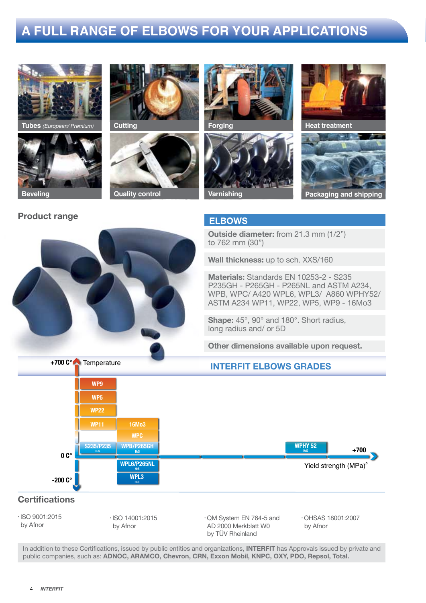# **A full range of elbows for your applications**



**Tubes** *(European/ Premium)* 



Temperature **+700 C°**

by Afnor

## Product range ELBOWS













**Outside diameter:** from 21.3 mm (1/2") to 762 mm (30")

**Wall thickness:** up to sch. XXS/160

**Materials:** Standards EN 10253-2 - S235 P235GH - P265GH - P265NL and ASTM A234, WPB, WPC/ A420 WPL6, WPL3/ A860 WPHY52/ ASTM A234 WP11, WP22, WP5, WP9 - 16Mo3

**Shape:** 45°, 90° and 180°. Short radius, long radius and/ or 5D

**Other dimensions available upon request.**

by Afnor

## INTERFIT ELBOWS GRADES



In addition to these Certifications, issued by public entities and organizations, INTERFIT has Approvals issued by private and public companies, such as: ADNOC, ARAMCO, Chevron, CRN, Exxon Mobil, KNPC, OXY, PDO, Repsol, Total.

AD 2000 Merkblatt W0 by TÜV Rheinland

by Afnor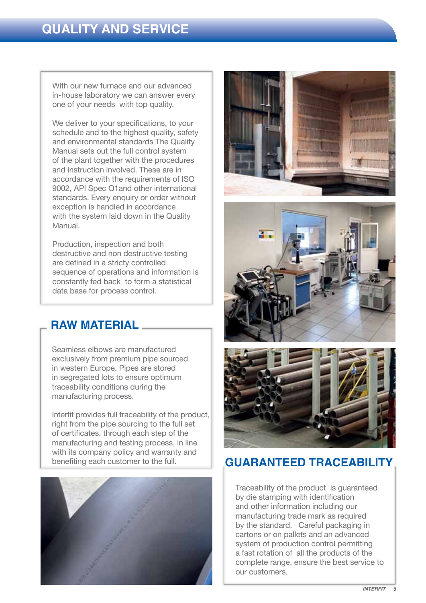With our new furnace and our advanced in-house laboratory we can answer every one of your needs with top quality.

We deliver to your specifications, to your schedule and to the highest quality, safety and environmental standards The Quality Manual sets out the full control system of the plant together with the procedures and instruction involved. These are in accordance with the requirements of ISO 9002, API Spec Q1and other international standards. Every enquiry or order without exception is handled in accordance with the system laid down in the Quality Manual.

Production, inspection and both destructive and non destructive testing are defined in a stricty controlled sequence of operations and information is constantly fed back to form a statistical data base for process control.

# **Raw material**

Seamless elbows are manufactured exclusively from premium pipe sourced in western Europe. Pipes are stored in segregated lots to ensure optimum traceability conditions during the manufacturing process.

Interfit provides full traceability of the product, right from the pipe sourcing to the full set of certificates, through each step of the manufacturing and testing process, in line with its company policy and warranty and benefiting each customer to the full.









# **GUARanteed traceability**

Traceability of the product is guaranteed by die stamping with identification and other information including our manufacturing trade mark as required by the standard. Careful packaging in cartons or on pallets and an advanced system of production control permitting a fast rotation of all the products of the complete range, ensure the best service to our customers.